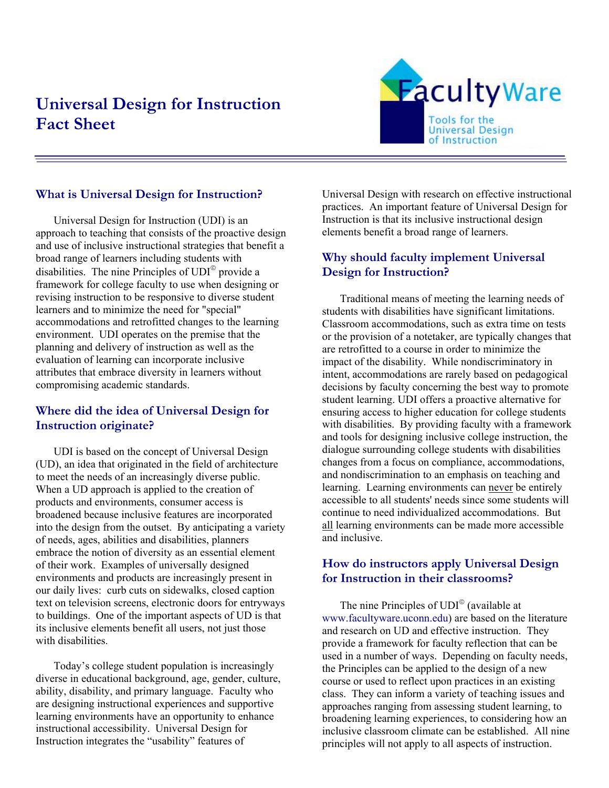# **Universal Design for Instruction Fact Sheet**



## **What is Universal Design for Instruction?**

Universal Design for Instruction (UDI) is an approach to teaching that consists of the proactive design and use of inclusive instructional strategies that benefit a broad range of learners including students with disabilities. The nine Principles of  $UDI^{\circ}$  provide a framework for college faculty to use when designing or revising instruction to be responsive to diverse student learners and to minimize the need for "special" accommodations and retrofitted changes to the learning environment. UDI operates on the premise that the planning and delivery of instruction as well as the evaluation of learning can incorporate inclusive attributes that embrace diversity in learners without compromising academic standards.

#### **Where did the idea of Universal Design for Instruction originate?**

UDI is based on the concept of Universal Design (UD), an idea that originated in the field of architecture to meet the needs of an increasingly diverse public. When a UD approach is applied to the creation of products and environments, consumer access is broadened because inclusive features are incorporated into the design from the outset. By anticipating a variety of needs, ages, abilities and disabilities, planners embrace the notion of diversity as an essential element of their work. Examples of universally designed environments and products are increasingly present in our daily lives: curb cuts on sidewalks, closed caption text on television screens, electronic doors for entryways to buildings. One of the important aspects of UD is that its inclusive elements benefit all users, not just those with disabilities.

Today's college student population is increasingly diverse in educational background, age, gender, culture, ability, disability, and primary language. Faculty who are designing instructional experiences and supportive learning environments have an opportunity to enhance instructional accessibility. Universal Design for Instruction integrates the "usability" features of

Universal Design with research on effective instructional practices. An important feature of Universal Design for Instruction is that its inclusive instructional design elements benefit a broad range of learners.

## **Why should faculty implement Universal Design for Instruction?**

Traditional means of meeting the learning needs of students with disabilities have significant limitations. Classroom accommodations, such as extra time on tests or the provision of a notetaker, are typically changes that are retrofitted to a course in order to minimize the impact of the disability. While nondiscriminatory in intent, accommodations are rarely based on pedagogical decisions by faculty concerning the best way to promote student learning. UDI offers a proactive alternative for ensuring access to higher education for college students with disabilities. By providing faculty with a framework and tools for designing inclusive college instruction, the dialogue surrounding college students with disabilities changes from a focus on compliance, accommodations, and nondiscrimination to an emphasis on teaching and learning. Learning environments can never be entirely accessible to all students' needs since some students will continue to need individualized accommodations. But all learning environments can be made more accessible and inclusive.

#### **How do instructors apply Universal Design for Instruction in their classrooms?**

The nine Principles of  $UDI^{\circ}$  (available at www.facultyware.uconn.edu) are based on the literature and research on UD and effective instruction. They provide a framework for faculty reflection that can be used in a number of ways. Depending on faculty needs, the Principles can be applied to the design of a new course or used to reflect upon practices in an existing class. They can inform a variety of teaching issues and approaches ranging from assessing student learning, to broadening learning experiences, to considering how an inclusive classroom climate can be established. All nine principles will not apply to all aspects of instruction.